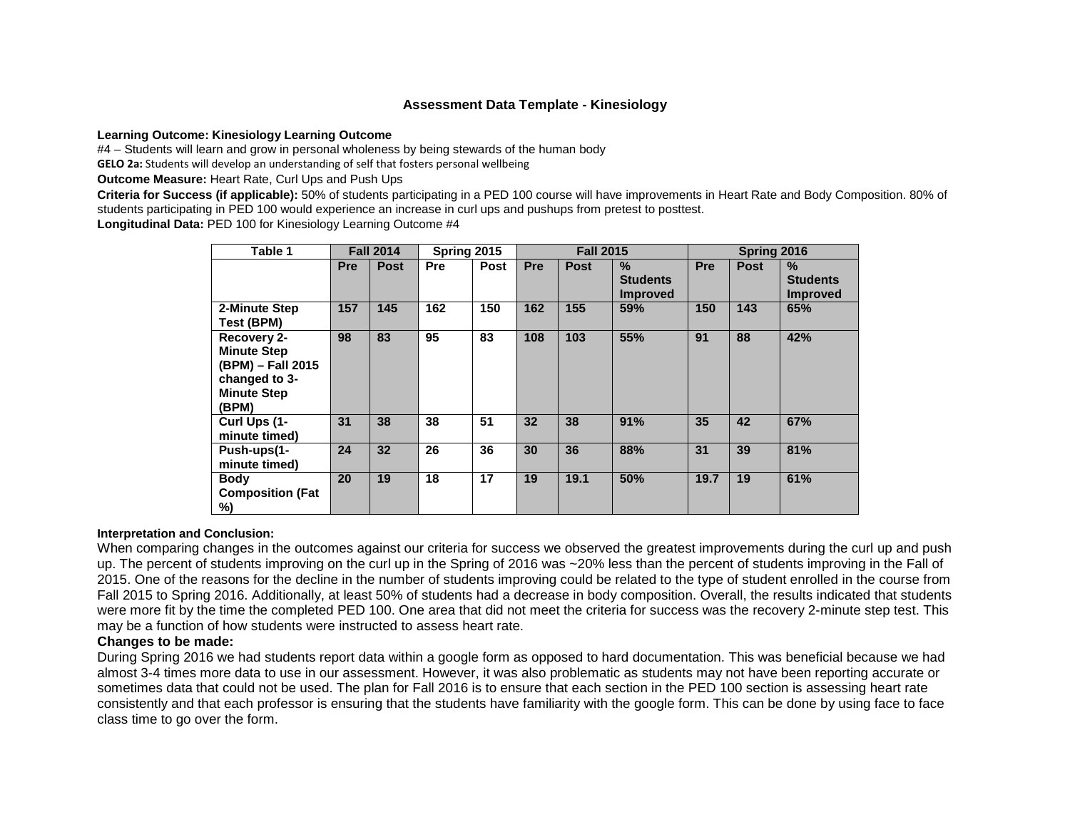#### **Assessment Data Template - Kinesiology**

**Learning Outcome: Kinesiology Learning Outcome** 

#4 – Students will learn and grow in personal wholeness by being stewards of the human body

**GELO 2a:** Students will develop an understanding of self that fosters personal wellbeing

**Outcome Measure:** Heart Rate, Curl Ups and Push Ups

**Criteria for Success (if applicable):** 50% of students participating in a PED 100 course will have improvements in Heart Rate and Body Composition. 80% of students participating in PED 100 would experience an increase in curl ups and pushups from pretest to posttest.

**Longitudinal Data:** PED 100 for Kinesiology Learning Outcome #4

| Table 1                                                                                                |            | <b>Fall 2014</b> | Spring 2015 |             |     | <b>Fall 2015</b> |                                            | Spring 2016 |             |                                            |
|--------------------------------------------------------------------------------------------------------|------------|------------------|-------------|-------------|-----|------------------|--------------------------------------------|-------------|-------------|--------------------------------------------|
|                                                                                                        | <b>Pre</b> | <b>Post</b>      | Pre         | <b>Post</b> | Pre | <b>Post</b>      | $\%$<br><b>Students</b><br><b>Improved</b> | Pre         | <b>Post</b> | $\%$<br><b>Students</b><br><b>Improved</b> |
| 2-Minute Step<br>Test (BPM)                                                                            | 157        | 145              | 162         | 150         | 162 | 155              | 59%                                        | 150         | 143         | 65%                                        |
| Recovery 2-<br><b>Minute Step</b><br>(BPM) - Fall 2015<br>changed to 3-<br><b>Minute Step</b><br>(BPM) | 98         | 83               | 95          | 83          | 108 | 103              | 55%                                        | 91          | 88          | 42%                                        |
| Curl Ups (1-<br>minute timed)                                                                          | 31         | 38               | 38          | 51          | 32  | 38               | 91%                                        | 35          | 42          | 67%                                        |
| Push-ups(1-<br>minute timed)                                                                           | 24         | 32               | 26          | 36          | 30  | 36               | 88%                                        | 31          | 39          | 81%                                        |
| <b>Body</b><br><b>Composition (Fat</b><br>%)                                                           | 20         | 19               | 18          | 17          | 19  | 19.1             | 50%                                        | 19.7        | 19          | 61%                                        |

#### **Interpretation and Conclusion:**

When comparing changes in the outcomes against our criteria for success we observed the greatest improvements during the curl up and push up. The percent of students improving on the curl up in the Spring of 2016 was ~20% less than the percent of students improving in the Fall of 2015. One of the reasons for the decline in the number of students improving could be related to the type of student enrolled in the course from Fall 2015 to Spring 2016. Additionally, at least 50% of students had a decrease in body composition. Overall, the results indicated that students were more fit by the time the completed PED 100. One area that did not meet the criteria for success was the recovery 2-minute step test. This may be a function of how students were instructed to assess heart rate.

#### **Changes to be made:**

During Spring 2016 we had students report data within a google form as opposed to hard documentation. This was beneficial because we had almost 3-4 times more data to use in our assessment. However, it was also problematic as students may not have been reporting accurate or sometimes data that could not be used. The plan for Fall 2016 is to ensure that each section in the PED 100 section is assessing heart rate consistently and that each professor is ensuring that the students have familiarity with the google form. This can be done by using face to face class time to go over the form.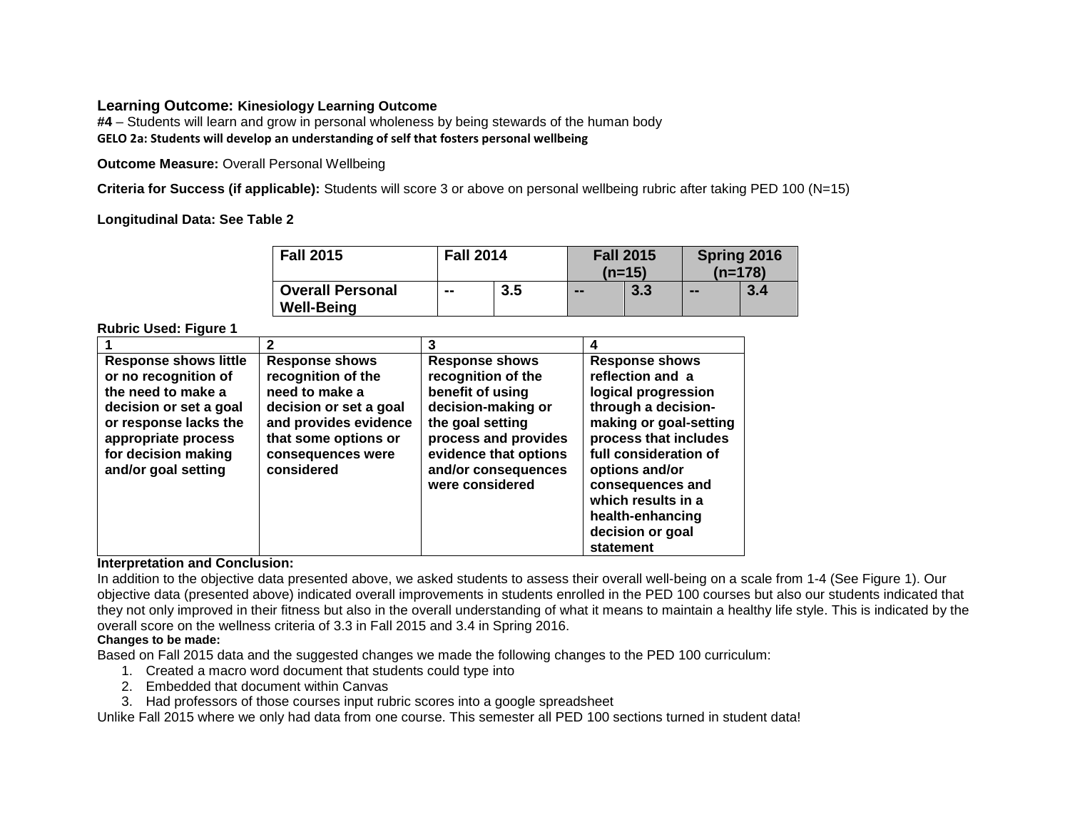### **Learning Outcome: Kinesiology Learning Outcome**

**#4** – Students will learn and grow in personal wholeness by being stewards of the human body **GELO 2a: Students will develop an understanding of self that fosters personal wellbeing**

**Outcome Measure:** Overall Personal Wellbeing

**Criteria for Success (if applicable):** Students will score 3 or above on personal wellbeing rubric after taking PED 100 (N=15)

**Longitudinal Data: See Table 2**

| <b>Fall 2015</b>                             | <b>Fall 2014</b> |     |        | <b>Fall 2015</b><br>$(n=15)$ | Spring 2016<br>$(n=178)$ |     |
|----------------------------------------------|------------------|-----|--------|------------------------------|--------------------------|-----|
| <b>Overall Personal</b><br><b>Well-Being</b> | --               | 3.5 | $\sim$ | 3.3                          | --                       | 3.4 |

**Rubric Used: Figure 1**

|                                                                                                                                                                                                    |                                                                                                                                                                             | 3                                                                                                                                                                                                    | 4                                                                                                                                                                                                                                                                                    |
|----------------------------------------------------------------------------------------------------------------------------------------------------------------------------------------------------|-----------------------------------------------------------------------------------------------------------------------------------------------------------------------------|------------------------------------------------------------------------------------------------------------------------------------------------------------------------------------------------------|--------------------------------------------------------------------------------------------------------------------------------------------------------------------------------------------------------------------------------------------------------------------------------------|
| <b>Response shows little</b><br>or no recognition of<br>the need to make a<br>decision or set a goal<br>or response lacks the<br>appropriate process<br>for decision making<br>and/or goal setting | <b>Response shows</b><br>recognition of the<br>need to make a<br>decision or set a goal<br>and provides evidence<br>that some options or<br>consequences were<br>considered | <b>Response shows</b><br>recognition of the<br>benefit of using<br>decision-making or<br>the goal setting<br>process and provides<br>evidence that options<br>and/or consequences<br>were considered | <b>Response shows</b><br>reflection and a<br>logical progression<br>through a decision-<br>making or goal-setting<br>process that includes<br>full consideration of<br>options and/or<br>consequences and<br>which results in a<br>health-enhancing<br>decision or goal<br>statement |

### **Interpretation and Conclusion:**

In addition to the objective data presented above, we asked students to assess their overall well-being on a scale from 1-4 (See Figure 1). Our objective data (presented above) indicated overall improvements in students enrolled in the PED 100 courses but also our students indicated that they not only improved in their fitness but also in the overall understanding of what it means to maintain a healthy life style. This is indicated by the overall score on the wellness criteria of 3.3 in Fall 2015 and 3.4 in Spring 2016.

### **Changes to be made:**

Based on Fall 2015 data and the suggested changes we made the following changes to the PED 100 curriculum:

- 1. Created a macro word document that students could type into
- 2. Embedded that document within Canvas
- 3. Had professors of those courses input rubric scores into a google spreadsheet

Unlike Fall 2015 where we only had data from one course. This semester all PED 100 sections turned in student data!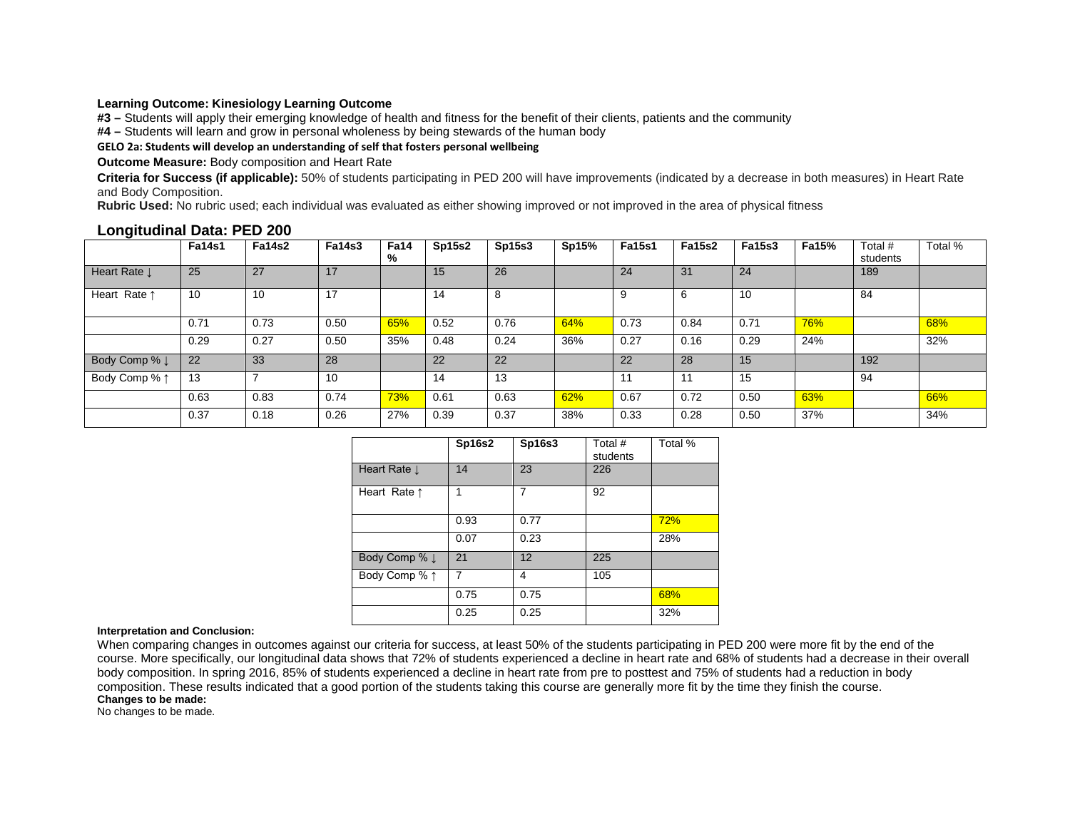#### **Learning Outcome: Kinesiology Learning Outcome**

**#3 –** Students will apply their emerging knowledge of health and fitness for the benefit of their clients, patients and the community

**#4 –** Students will learn and grow in personal wholeness by being stewards of the human body

#### **GELO 2a: Students will develop an understanding of self that fosters personal wellbeing**

**Outcome Measure:** Body composition and Heart Rate

**Criteria for Success (if applicable):** 50% of students participating in PED 200 will have improvements (indicated by a decrease in both measures) in Heart Rate and Body Composition.

**Rubric Used:** No rubric used; each individual was evaluated as either showing improved or not improved in the area of physical fitness

| $\cdot$                  | <b>Fa14s1</b> | <b>Fa14s2</b> | <b>Fa14s3</b> | <b>Fa14</b><br>% | <b>Sp15s2</b> | <b>Sp15s3</b> | Sp15% | <b>Fa15s1</b> | <b>Fa15s2</b> | <b>Fa15s3</b> | <b>Fa15%</b> | Total #<br>students | Total % |
|--------------------------|---------------|---------------|---------------|------------------|---------------|---------------|-------|---------------|---------------|---------------|--------------|---------------------|---------|
| Heart Rate L             | 25            | 27            | 17            |                  | 15            | 26            |       | 24            | 31            | 24            |              | 189                 |         |
| Heart Rate 1             | 10            | 10            | 17            |                  | 14            |               |       | 9             | 6             | 10            |              | 84                  |         |
|                          | 0.71          | 0.73          | 0.50          | 65%              | 0.52          | 0.76          | 64%   | 0.73          | 0.84          | 0.71          | 76%          |                     | 68%     |
|                          | 0.29          | 0.27          | 0.50          | 35%              | 0.48          | 0.24          | 36%   | 0.27          | 0.16          | 0.29          | 24%          |                     | 32%     |
| Body Comp % $\downarrow$ | 22            | 33            | 28            |                  | 22            | 22            |       | 22            | 28            | 15            |              | 192                 |         |
| Body Comp % 1            | 13            | ⇁             | 10            |                  | 14            | 13            |       | 11            | 11            | 15            |              | 94                  |         |
|                          | 0.63          | 0.83          | 0.74          | 73%              | 0.61          | 0.63          | 62%   | 0.67          | 0.72          | 0.50          | 63%          |                     | 66%     |
|                          | 0.37          | 0.18          | 0.26          | 27%              | 0.39          | 0.37          | 38%   | 0.33          | 0.28          | 0.50          | 37%          |                     | 34%     |

#### **Longitudinal Data: PED 200**

|                          | <b>Sp16s2</b> | <b>Sp16s3</b> | Total #<br>students | Total % |
|--------------------------|---------------|---------------|---------------------|---------|
| Heart Rate $\downarrow$  | 14            | 23            | 226                 |         |
| Heart Rate $\uparrow$    | 1             | 7             | 92                  |         |
|                          | 0.93          | 0.77          |                     | 72%     |
|                          | 0.07          | 0.23          |                     | 28%     |
| Body Comp % $\downarrow$ | 21            | 12            | 225                 |         |
| Body Comp % 1            | 7             | 4             | 105                 |         |
|                          | 0.75          | 0.75          |                     | 68%     |
|                          | 0.25          | 0.25          |                     | 32%     |

#### **Interpretation and Conclusion:**

When comparing changes in outcomes against our criteria for success, at least 50% of the students participating in PED 200 were more fit by the end of the course. More specifically, our longitudinal data shows that 72% of students experienced a decline in heart rate and 68% of students had a decrease in their overall body composition. In spring 2016, 85% of students experienced a decline in heart rate from pre to posttest and 75% of students had a reduction in body composition. These results indicated that a good portion of the students taking this course are generally more fit by the time they finish the course. **Changes to be made:** 

No changes to be made.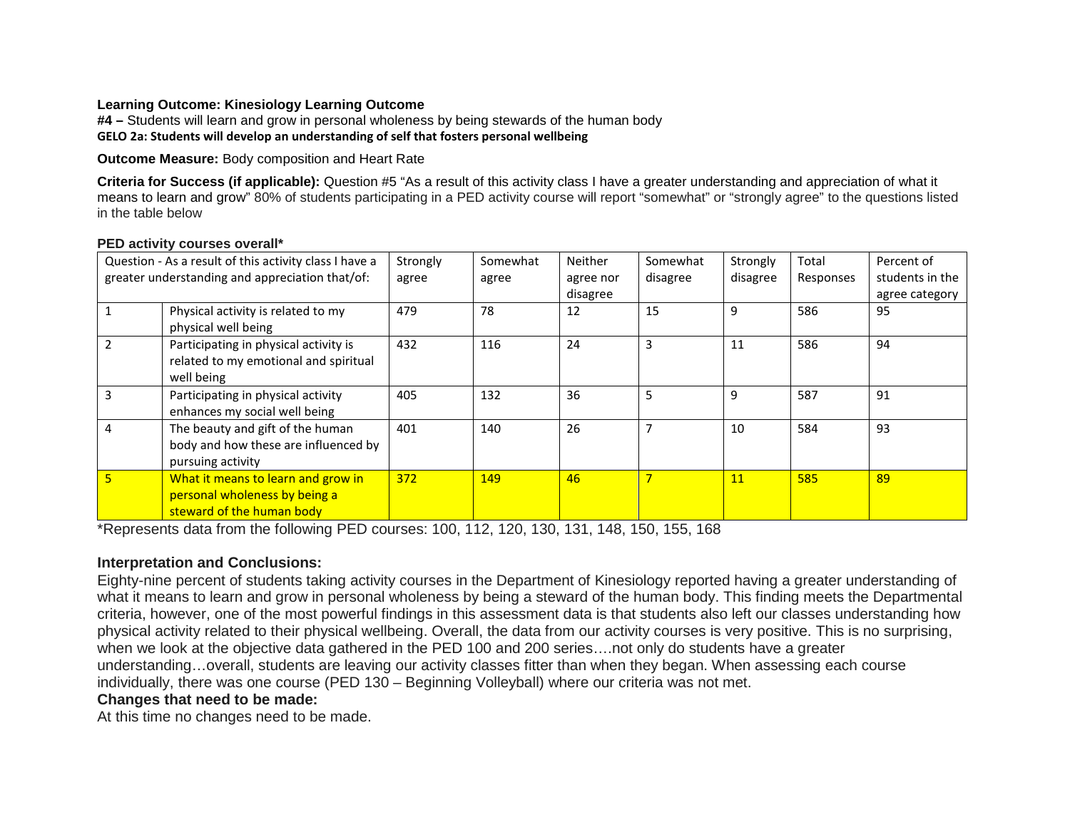### **Learning Outcome: Kinesiology Learning Outcome**

**#4 –** Students will learn and grow in personal wholeness by being stewards of the human body **GELO 2a: Students will develop an understanding of self that fosters personal wellbeing**

**Outcome Measure:** Body composition and Heart Rate

**Criteria for Success (if applicable):** Question #5 "As a result of this activity class I have a greater understanding and appreciation of what it means to learn and grow" 80% of students participating in a PED activity course will report "somewhat" or "strongly agree" to the questions listed in the table below

|   | Question - As a result of this activity class I have a                                           | Strongly | Somewhat | <b>Neither</b> | Somewhat       | Strongly  | Total     | Percent of      |
|---|--------------------------------------------------------------------------------------------------|----------|----------|----------------|----------------|-----------|-----------|-----------------|
|   | greater understanding and appreciation that/of:                                                  | agree    | agree    | agree nor      | disagree       | disagree  | Responses | students in the |
|   |                                                                                                  |          |          | disagree       |                |           |           | agree category  |
|   | Physical activity is related to my<br>physical well being                                        | 479      | 78       | 12             | 15             | 9         | 586       | 95              |
|   | Participating in physical activity is<br>related to my emotional and spiritual<br>well being     | 432      | 116      | 24             | 3              | 11        | 586       | 94              |
|   | Participating in physical activity<br>enhances my social well being                              | 405      | 132      | 36             | 5              | 9         | 587       | 91              |
|   | The beauty and gift of the human<br>body and how these are influenced by<br>pursuing activity    | 401      | 140      | 26             | $\overline{7}$ | 10        | 584       | 93              |
| 5 | What it means to learn and grow in<br>personal wholeness by being a<br>steward of the human body | 372      | 149      | 46             |                | <b>11</b> | 585       | 89              |

#### **PED activity courses overall\***

\*Represents data from the following PED courses: 100, 112, 120, 130, 131, 148, 150, 155, 168

## **Interpretation and Conclusions:**

Eighty-nine percent of students taking activity courses in the Department of Kinesiology reported having a greater understanding of what it means to learn and grow in personal wholeness by being a steward of the human body. This finding meets the Departmental criteria, however, one of the most powerful findings in this assessment data is that students also left our classes understanding how physical activity related to their physical wellbeing. Overall, the data from our activity courses is very positive. This is no surprising, when we look at the objective data gathered in the PED 100 and 200 series….not only do students have a greater understanding…overall, students are leaving our activity classes fitter than when they began. When assessing each course individually, there was one course (PED 130 – Beginning Volleyball) where our criteria was not met.

### **Changes that need to be made:**

At this time no changes need to be made.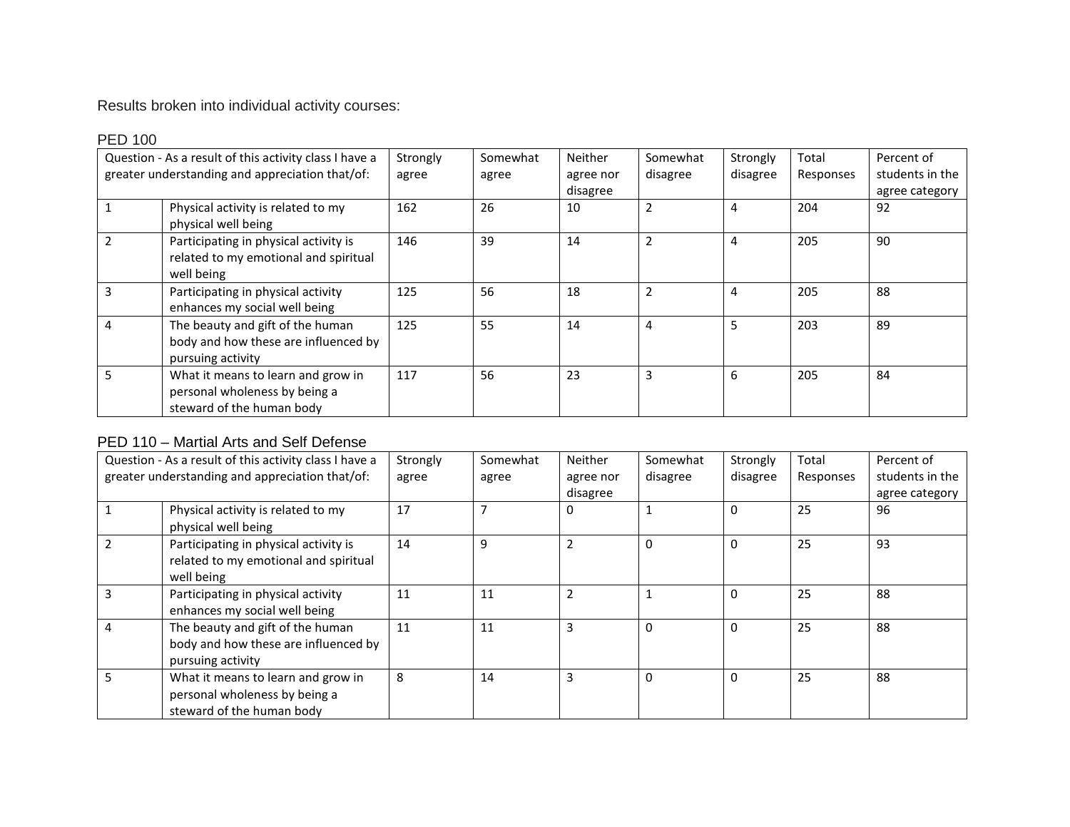Results broken into individual activity courses:

| Question - As a result of this activity class I have a<br>greater understanding and appreciation that/of: | Strongly<br>agree | Somewhat<br>agree | <b>Neither</b><br>agree nor | Somewhat<br>disagree | Strongly<br>disagree | Total<br>Responses | Percent of<br>students in the |
|-----------------------------------------------------------------------------------------------------------|-------------------|-------------------|-----------------------------|----------------------|----------------------|--------------------|-------------------------------|
|                                                                                                           |                   |                   | disagree                    |                      |                      |                    | agree category                |
| Physical activity is related to my<br>physical well being                                                 | 162               | 26                | 10                          | 2                    | 4                    | 204                | 92                            |
| Participating in physical activity is<br>related to my emotional and spiritual<br>well being              | 146               | 39                | 14                          | 2                    | 4                    | 205                | 90                            |
| Participating in physical activity<br>enhances my social well being                                       | 125               | 56                | 18                          | 2                    | 4                    | 205                | 88                            |
| The beauty and gift of the human<br>body and how these are influenced by<br>pursuing activity             | 125               | 55                | 14                          | 4                    | 5                    | 203                | 89                            |
| What it means to learn and grow in<br>personal wholeness by being a<br>steward of the human body          | 117               | 56                | 23                          | 3                    | 6                    | 205                | 84                            |

# PED 110 – Martial Arts and Self Defense

|   | Question - As a result of this activity class I have a<br>greater understanding and appreciation that/of: | Strongly<br>agree | Somewhat<br>agree | Neither<br>agree nor | Somewhat<br>disagree | Strongly<br>disagree | Total<br>Responses | Percent of<br>students in the |
|---|-----------------------------------------------------------------------------------------------------------|-------------------|-------------------|----------------------|----------------------|----------------------|--------------------|-------------------------------|
|   |                                                                                                           |                   |                   | disagree             |                      |                      |                    | agree category                |
|   | Physical activity is related to my<br>physical well being                                                 | 17                |                   | 0                    | 1                    | 0                    | 25                 | 96                            |
|   | Participating in physical activity is<br>related to my emotional and spiritual<br>well being              | 14                | 9                 | $\overline{2}$       | $\Omega$             | $\Omega$             | 25                 | 93                            |
|   | Participating in physical activity<br>enhances my social well being                                       | 11                | 11                | 2                    |                      | $\Omega$             | 25                 | 88                            |
| 4 | The beauty and gift of the human<br>body and how these are influenced by<br>pursuing activity             | 11                | 11                | 3                    | $\Omega$             | $\Omega$             | 25                 | 88                            |
|   | What it means to learn and grow in<br>personal wholeness by being a<br>steward of the human body          | 8                 | 14                | 3                    | $\Omega$             | $\Omega$             | 25                 | 88                            |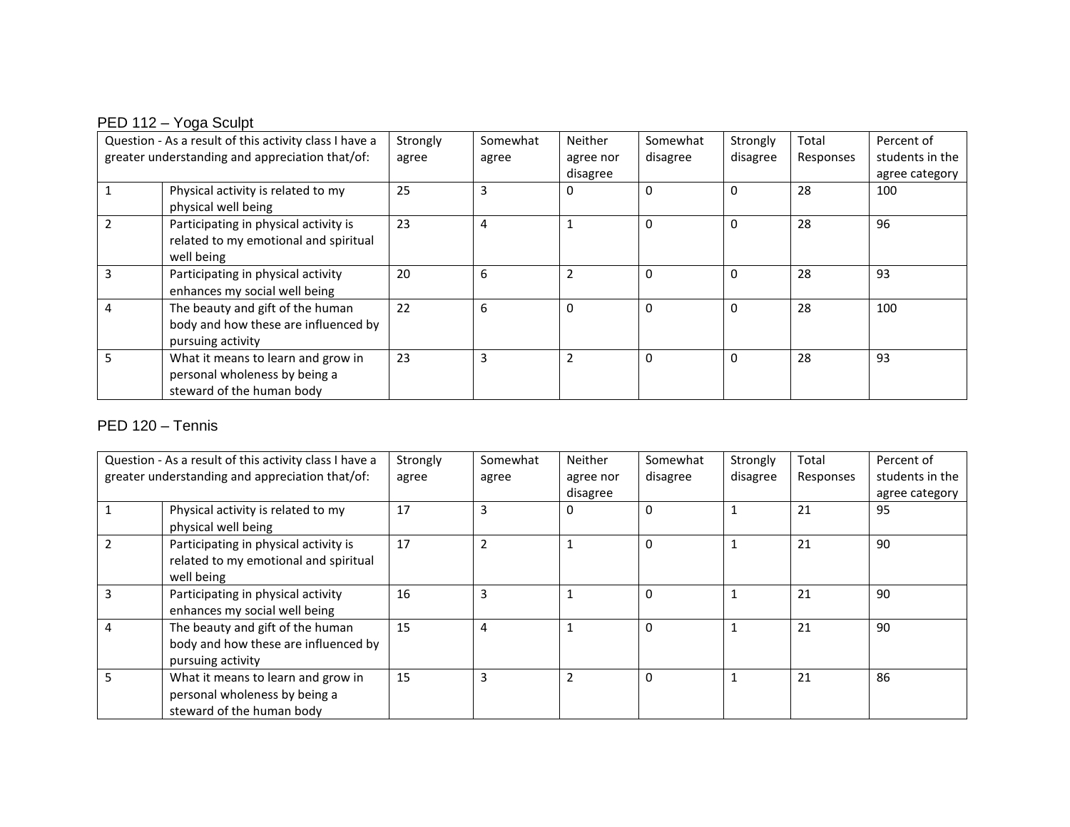# PED 112 - Yoga Sculpt

|                | Question - As a result of this activity class I have a | Strongly | Somewhat | <b>Neither</b>           | Somewhat     | Strongly | Total     | Percent of      |
|----------------|--------------------------------------------------------|----------|----------|--------------------------|--------------|----------|-----------|-----------------|
|                | greater understanding and appreciation that/of:        | agree    | agree    | agree nor                | disagree     | disagree | Responses | students in the |
|                |                                                        |          |          | disagree                 |              |          |           | agree category  |
|                | Physical activity is related to my                     | 25       | 3        | 0                        | $\Omega$     | $\Omega$ | 28        | 100             |
|                | physical well being                                    |          |          |                          |              |          |           |                 |
| $\overline{2}$ | Participating in physical activity is                  | 23       | 4        |                          | 0            | $\Omega$ | 28        | 96              |
|                | related to my emotional and spiritual                  |          |          |                          |              |          |           |                 |
|                | well being                                             |          |          |                          |              |          |           |                 |
| 3              | Participating in physical activity                     | 20       | 6        | $\overline{\phantom{a}}$ | $\mathbf{0}$ | $\Omega$ | 28        | 93              |
|                | enhances my social well being                          |          |          |                          |              |          |           |                 |
| 4              | The beauty and gift of the human                       | 22       | 6        | $\Omega$                 | 0            | $\Omega$ | 28        | 100             |
|                | body and how these are influenced by                   |          |          |                          |              |          |           |                 |
|                | pursuing activity                                      |          |          |                          |              |          |           |                 |
| 5              | What it means to learn and grow in                     | 23       | 3        |                          | $\Omega$     | $\Omega$ | 28        | 93              |
|                | personal wholeness by being a                          |          |          |                          |              |          |           |                 |
|                | steward of the human body                              |          |          |                          |              |          |           |                 |

## PED 120 – Tennis

|                | Question - As a result of this activity class I have a | Strongly | Somewhat | <b>Neither</b> | Somewhat     | Strongly | Total     | Percent of      |
|----------------|--------------------------------------------------------|----------|----------|----------------|--------------|----------|-----------|-----------------|
|                | greater understanding and appreciation that/of:        | agree    | agree    | agree nor      | disagree     | disagree | Responses | students in the |
|                |                                                        |          |          | disagree       |              |          |           | agree category  |
|                | Physical activity is related to my                     | 17       | 3        | $\Omega$       | $\Omega$     |          | 21        | 95              |
|                | physical well being                                    |          |          |                |              |          |           |                 |
|                | Participating in physical activity is                  | 17       |          |                | $\mathbf{0}$ |          | 21        | 90              |
|                | related to my emotional and spiritual                  |          |          |                |              |          |           |                 |
|                | well being                                             |          |          |                |              |          |           |                 |
| ς              | Participating in physical activity                     | 16       | 3        |                | $\mathbf{0}$ |          | 21        | 90              |
|                | enhances my social well being                          |          |          |                |              |          |           |                 |
| $\overline{4}$ | The beauty and gift of the human                       | 15       | 4        |                | $\sqrt{ }$   |          | 21        | 90              |
|                | body and how these are influenced by                   |          |          |                |              |          |           |                 |
|                | pursuing activity                                      |          |          |                |              |          |           |                 |
|                | What it means to learn and grow in                     | 15       | q        | $\overline{2}$ | $\Omega$     |          | 21        | 86              |
|                | personal wholeness by being a                          |          |          |                |              |          |           |                 |
|                | steward of the human body                              |          |          |                |              |          |           |                 |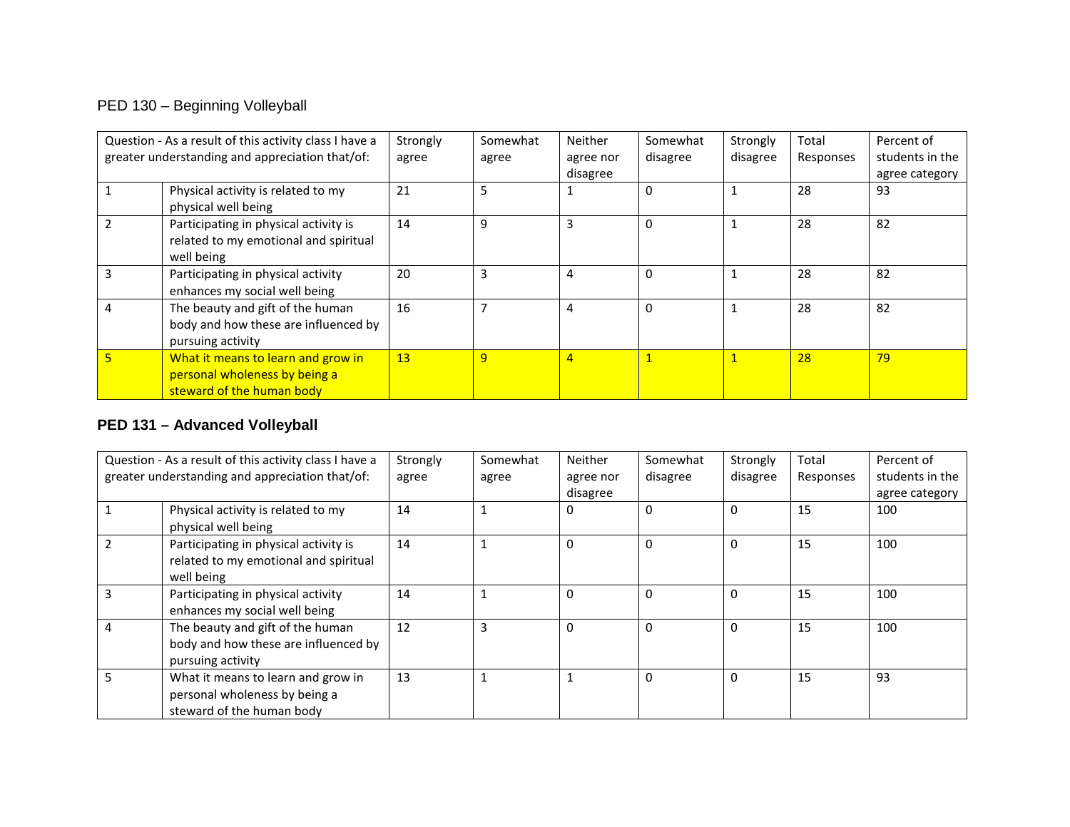# PED 130 – Beginning Volleyball

|   | Question - As a result of this activity class I have a                                           | Strongly | Somewhat | <b>Neither</b> | Somewhat | Strongly | Total     | Percent of      |
|---|--------------------------------------------------------------------------------------------------|----------|----------|----------------|----------|----------|-----------|-----------------|
|   | greater understanding and appreciation that/of:                                                  | agree    | agree    | agree nor      | disagree | disagree | Responses | students in the |
|   |                                                                                                  |          |          | disagree       |          |          |           | agree category  |
|   | Physical activity is related to my<br>physical well being                                        | 21       | 5        |                | $\Omega$ |          | 28        | 93              |
|   | Participating in physical activity is<br>related to my emotional and spiritual<br>well being     | 14       | 9        | 3              | $\Omega$ |          | 28        | 82              |
| 3 | Participating in physical activity<br>enhances my social well being                              | 20       | 3        | 4              | 0        |          | 28        | 82              |
| 4 | The beauty and gift of the human<br>body and how these are influenced by<br>pursuing activity    | 16       |          | 4              | $\Omega$ |          | 28        | 82              |
| 5 | What it means to learn and grow in<br>personal wholeness by being a<br>steward of the human body | 13       | 9        | $\overline{4}$ |          |          | 28        | 79              |

## **PED 131 – Advanced Volleyball**

|   | Question - As a result of this activity class I have a | Strongly | Somewhat | <b>Neither</b> | Somewhat | Strongly     | Total     | Percent of      |
|---|--------------------------------------------------------|----------|----------|----------------|----------|--------------|-----------|-----------------|
|   | greater understanding and appreciation that/of:        | agree    | agree    | agree nor      | disagree | disagree     | Responses | students in the |
|   |                                                        |          |          | disagree       |          |              |           | agree category  |
|   | Physical activity is related to my                     | 14       |          | 0              | $\Omega$ | $\Omega$     | 15        | 100             |
|   | physical well being                                    |          |          |                |          |              |           |                 |
|   | Participating in physical activity is                  | 14       |          | $\Omega$       | $\Omega$ | $\Omega$     | 15        | 100             |
|   | related to my emotional and spiritual                  |          |          |                |          |              |           |                 |
|   | well being                                             |          |          |                |          |              |           |                 |
|   | Participating in physical activity                     | 14       |          | $\Omega$       | $\Omega$ | $\Omega$     | 15        | 100             |
|   | enhances my social well being                          |          |          |                |          |              |           |                 |
| 4 | The beauty and gift of the human                       | 12       | 3        | $\Omega$       | $\Omega$ | 0            | 15        | 100             |
|   | body and how these are influenced by                   |          |          |                |          |              |           |                 |
|   | pursuing activity                                      |          |          |                |          |              |           |                 |
|   | What it means to learn and grow in                     | 13       |          |                | $\Omega$ | $\mathbf{0}$ | 15        | 93              |
|   | personal wholeness by being a                          |          |          |                |          |              |           |                 |
|   | steward of the human body                              |          |          |                |          |              |           |                 |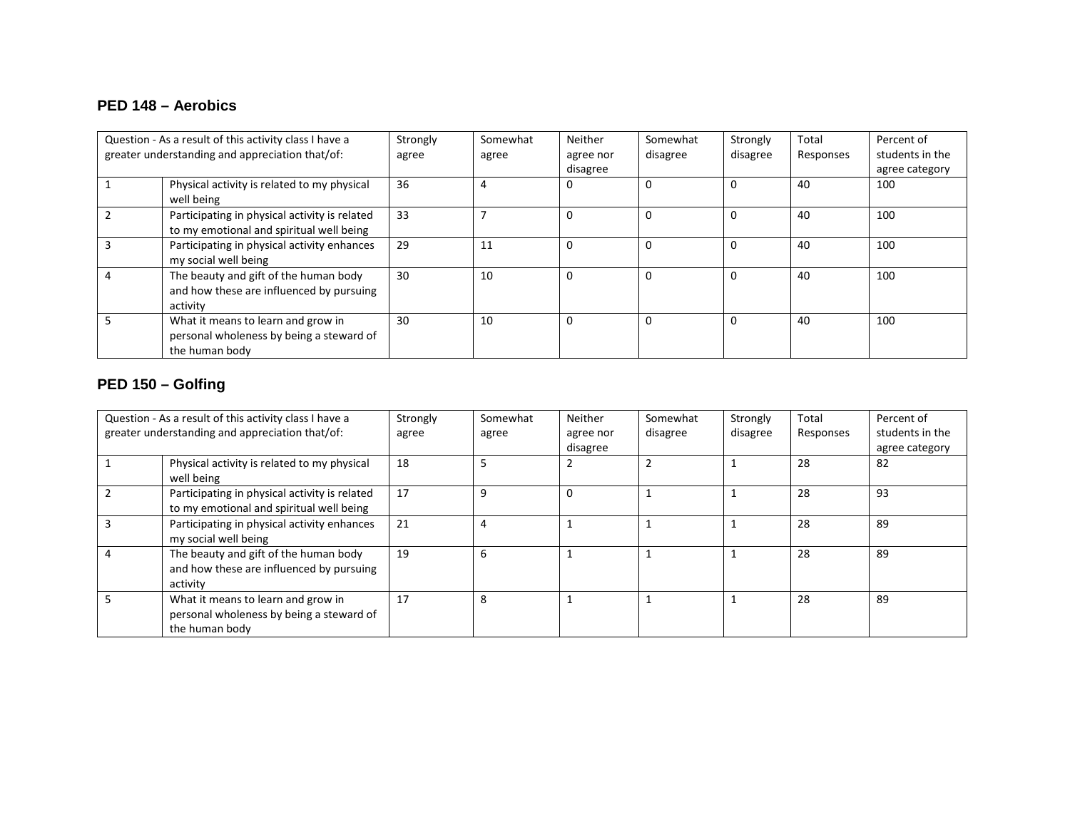## **PED 148 – Aerobics**

|                                                 | Question - As a result of this activity class I have a                                           | Strongly | Somewhat | Neither   | Somewhat | Strongly | Total     | Percent of      |
|-------------------------------------------------|--------------------------------------------------------------------------------------------------|----------|----------|-----------|----------|----------|-----------|-----------------|
| greater understanding and appreciation that/of: |                                                                                                  | agree    | agree    | agree nor | disagree | disagree | Responses | students in the |
|                                                 |                                                                                                  |          |          | disagree  |          |          |           | agree category  |
|                                                 | Physical activity is related to my physical<br>well being                                        | 36       | 4        |           |          | $\Omega$ | 40        | 100             |
|                                                 | Participating in physical activity is related<br>to my emotional and spiritual well being        | 33       |          |           |          | 0        | 40        | 100             |
|                                                 | Participating in physical activity enhances<br>my social well being                              | 29       | 11       |           |          | $\Omega$ | 40        | 100             |
|                                                 | The beauty and gift of the human body<br>and how these are influenced by pursuing<br>activity    | 30       | 10       | 0         |          | $\Omega$ | 40        | 100             |
|                                                 | What it means to learn and grow in<br>personal wholeness by being a steward of<br>the human body | 30       | 10       | $\Omega$  |          | $\Omega$ | 40        | 100             |

## **PED 150 – Golfing**

| Question - As a result of this activity class I have a<br>greater understanding and appreciation that/of: |                                                                                                  | Strongly<br>agree | Somewhat<br>agree | <b>Neither</b><br>agree nor<br>disagree | Somewhat<br>disagree | Strongly<br>disagree | Total<br>Responses | Percent of<br>students in the<br>agree category |
|-----------------------------------------------------------------------------------------------------------|--------------------------------------------------------------------------------------------------|-------------------|-------------------|-----------------------------------------|----------------------|----------------------|--------------------|-------------------------------------------------|
|                                                                                                           | Physical activity is related to my physical<br>well being                                        | 18                |                   |                                         |                      |                      | 28                 | 82                                              |
|                                                                                                           | Participating in physical activity is related<br>to my emotional and spiritual well being        | 17                | 9                 | $\Omega$                                |                      |                      | 28                 | 93                                              |
|                                                                                                           | Participating in physical activity enhances<br>my social well being                              | 21                | 4                 |                                         |                      |                      | 28                 | 89                                              |
|                                                                                                           | The beauty and gift of the human body<br>and how these are influenced by pursuing<br>activity    | 19                | 6                 |                                         |                      |                      | 28                 | 89                                              |
|                                                                                                           | What it means to learn and grow in<br>personal wholeness by being a steward of<br>the human body | 17                | 8                 |                                         |                      |                      | 28                 | 89                                              |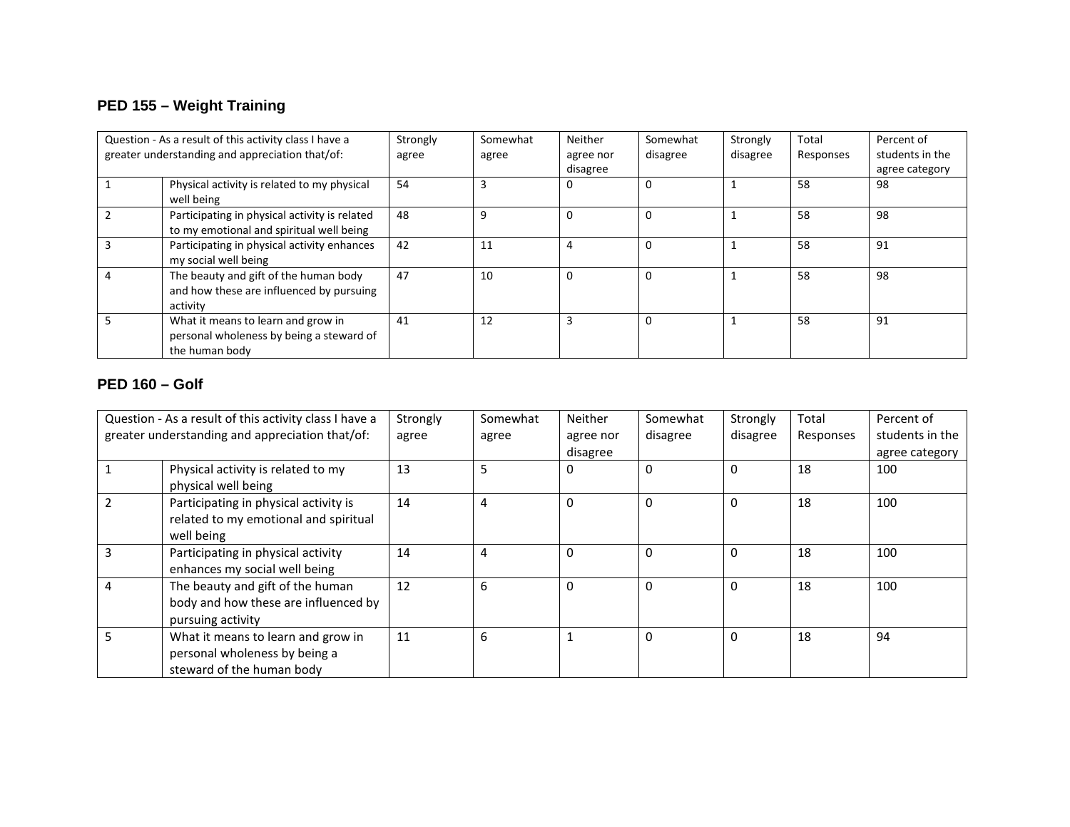# **PED 155 – Weight Training**

|                                                 | Question - As a result of this activity class I have a                                           | Strongly | Somewhat | Neither   | Somewhat | Strongly | Total     | Percent of      |
|-------------------------------------------------|--------------------------------------------------------------------------------------------------|----------|----------|-----------|----------|----------|-----------|-----------------|
| greater understanding and appreciation that/of: |                                                                                                  | agree    | agree    | agree nor | disagree | disagree | Responses | students in the |
|                                                 |                                                                                                  |          |          | disagree  |          |          |           | agree category  |
|                                                 | Physical activity is related to my physical<br>well being                                        | 54       | 3        |           |          |          | 58        | 98              |
|                                                 | Participating in physical activity is related<br>to my emotional and spiritual well being        | 48       | 9        |           |          |          | 58        | 98              |
|                                                 | Participating in physical activity enhances<br>my social well being                              | 42       | 11       |           |          |          | 58        | 91              |
|                                                 | The beauty and gift of the human body<br>and how these are influenced by pursuing<br>activity    | 47       | 10       |           |          |          | 58        | 98              |
|                                                 | What it means to learn and grow in<br>personal wholeness by being a steward of<br>the human body | 41       | 12       |           |          |          | 58        | 91              |

## **PED 160 – Golf**

|                                                 | Question - As a result of this activity class I have a                                           | Strongly | Somewhat | Neither   | Somewhat     | Strongly | Total     | Percent of      |
|-------------------------------------------------|--------------------------------------------------------------------------------------------------|----------|----------|-----------|--------------|----------|-----------|-----------------|
| greater understanding and appreciation that/of: |                                                                                                  | agree    | agree    | agree nor | disagree     | disagree | Responses | students in the |
|                                                 |                                                                                                  |          |          | disagree  |              |          |           | agree category  |
|                                                 | Physical activity is related to my<br>physical well being                                        | 13       | 5        | 0         | $\sqrt{ }$   | 0        | 18        | 100             |
|                                                 | Participating in physical activity is<br>related to my emotional and spiritual<br>well being     | 14       | 4        | $\Omega$  | $\mathbf{0}$ | 0        | 18        | 100             |
| 3                                               | Participating in physical activity<br>enhances my social well being                              | 14       | 4        | $\Omega$  | $\Omega$     | 0        | 18        | 100             |
| 4                                               | The beauty and gift of the human<br>body and how these are influenced by<br>pursuing activity    | 12       | 6        | $\Omega$  | $\mathbf{0}$ | 0        | 18        | 100             |
|                                                 | What it means to learn and grow in<br>personal wholeness by being a<br>steward of the human body | 11       | 6        |           | $\mathbf 0$  | 0        | 18        | 94              |